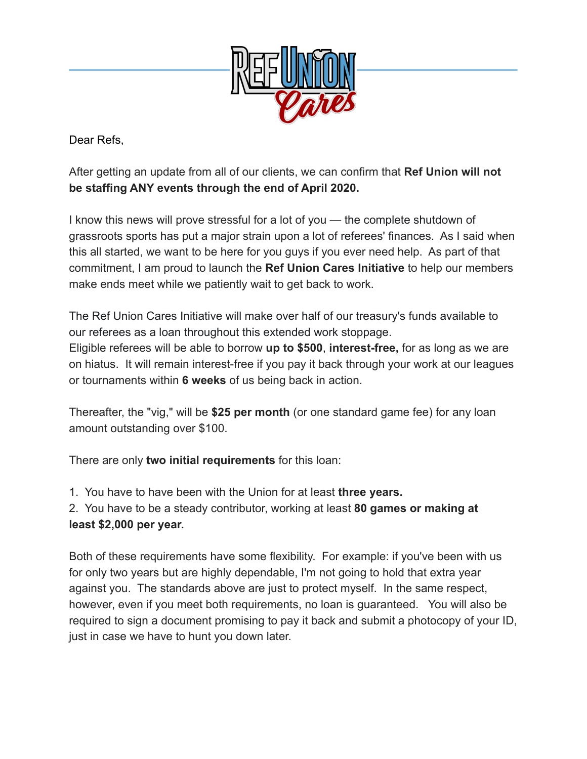

Dear Refs,

After getting an update from all of our clients, we can confirm that **Ref Union will not be staffing ANY events through the end of April 2020.**

I know this news will prove stressful for a lot of you — the complete shutdown of grassroots sports has put a major strain upon a lot of referees' finances. As I said when this all started, we want to be here for you guys if you ever need help. As part of that commitment, I am proud to launch the **Ref Union Cares Initiative** to help our members make ends meet while we patiently wait to get back to work.

The Ref Union Cares Initiative will make over half of our treasury's funds available to our referees as a loan throughout this extended work stoppage. Eligible referees will be able to borrow **up to \$500**, **interest-free,** for as long as we are on hiatus. It will remain interest-free if you pay it back through your work at our leagues or tournaments within **6 weeks** of us being back in action.

Thereafter, the "vig," will be **\$25 per month** (or one standard game fee) for any loan amount outstanding over \$100.

There are only **two initial requirements** for this loan:

- 1. You have to have been with the Union for at least **three years.**
- 2. You have to be a steady contributor, working at least **80 games or making at least \$2,000 per year.**

Both of these requirements have some flexibility. For example: if you've been with us for only two years but are highly dependable, I'm not going to hold that extra year against you. The standards above are just to protect myself. In the same respect, however, even if you meet both requirements, no loan is guaranteed. You will also be required to sign a document promising to pay it back and submit a photocopy of your ID, just in case we have to hunt you down later.